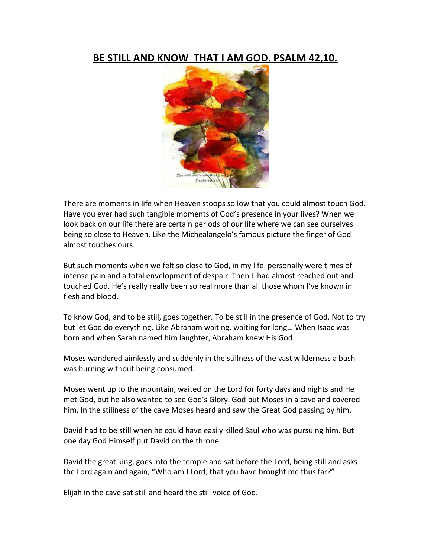## **BE STILL AND KNOW THAT I AM GOD. PSALM 42,10.**



There are moments in life when Heaven stoops so low that you could almost touch God. Have you ever had such tangible moments of God's presence in your lives? When we look back on our life there are certain periods of our life where we can see ourselves being so close to Heaven. Like the Michealangelo's famous picture the finger of God almost touches ours.

But such moments when we felt so close to God, in my life personally were times of intense pain and a total envelopment of despair. Then I had almost reached out and touched God. He's really really been so real more than all those whom I've known in flesh and blood.

To know God, and to be still, goes together. To be still in the presence of God. Not to try but let God do everything. Like Abraham waiting, waiting for long… When Isaac was born and when Sarah named him laughter, Abraham knew His God.

Moses wandered aimlessly and suddenly in the stillness of the vast wilderness a bush was burning without being consumed.

Moses went up to the mountain, waited on the Lord for forty days and nights and He met God, but he also wanted to see God's Glory. God put Moses in a cave and covered him. In the stillness of the cave Moses heard and saw the Great God passing by him.

David had to be still when he could have easily killed Saul who was pursuing him. But one day God Himself put David on the throne.

David the great king, goes into the temple and sat before the Lord, being still and asks the Lord again and again, "Who am I Lord, that you have brought me thus far?"

Elijah in the cave sat still and heard the still voice of God.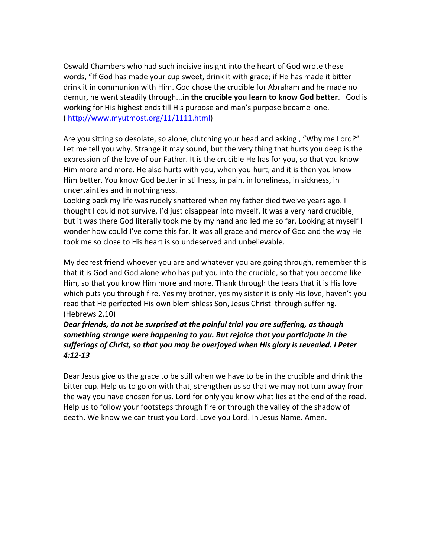Oswald Chambers who had such incisive insight into the heart of God wrote these words, "If God has made your cup sweet, drink it with grace; if He has made it bitter drink it in communion with Him. God chose the crucible for Abraham and he made no demur, he went steadily through...**in the crucible you learn to know God better**. God is working for His highest ends till His purpose and man's purpose became one. ( [http://www.myutmost.org/11/1111.html\)](http://www.myutmost.org/11/1111.html)

Are you sitting so desolate, so alone, clutching your head and asking , "Why me Lord?" Let me tell you why. Strange it may sound, but the very thing that hurts you deep is the expression of the love of our Father. It is the crucible He has for you, so that you know Him more and more. He also hurts with you, when you hurt, and it is then you know Him better. You know God better in stillness, in pain, in loneliness, in sickness, in uncertainties and in nothingness.

Looking back my life was rudely shattered when my father died twelve years ago. I thought I could not survive, I'd just disappear into myself. It was a very hard crucible, but it was there God literally took me by my hand and led me so far. Looking at myself I wonder how could I've come this far. It was all grace and mercy of God and the way He took me so close to His heart is so undeserved and unbelievable.

My dearest friend whoever you are and whatever you are going through, remember this that it is God and God alone who has put you into the crucible, so that you become like Him, so that you know Him more and more. Thank through the tears that it is His love which puts you through fire. Yes my brother, yes my sister it is only His love, haven't you read that He perfected His own blemishless Son, Jesus Christ through suffering. (Hebrews 2,10)

*Dear friends, do not be surprised at the painful trial you are suffering, as though something strange were happening to you. But rejoice that you participate in the sufferings of Christ, so that you may be overjoyed when His glory is revealed. I Peter 4:12-13*

Dear Jesus give us the grace to be still when we have to be in the crucible and drink the bitter cup. Help us to go on with that, strengthen us so that we may not turn away from the way you have chosen for us. Lord for only you know what lies at the end of the road. Help us to follow your footsteps through fire or through the valley of the shadow of death. We know we can trust you Lord. Love you Lord. In Jesus Name. Amen.